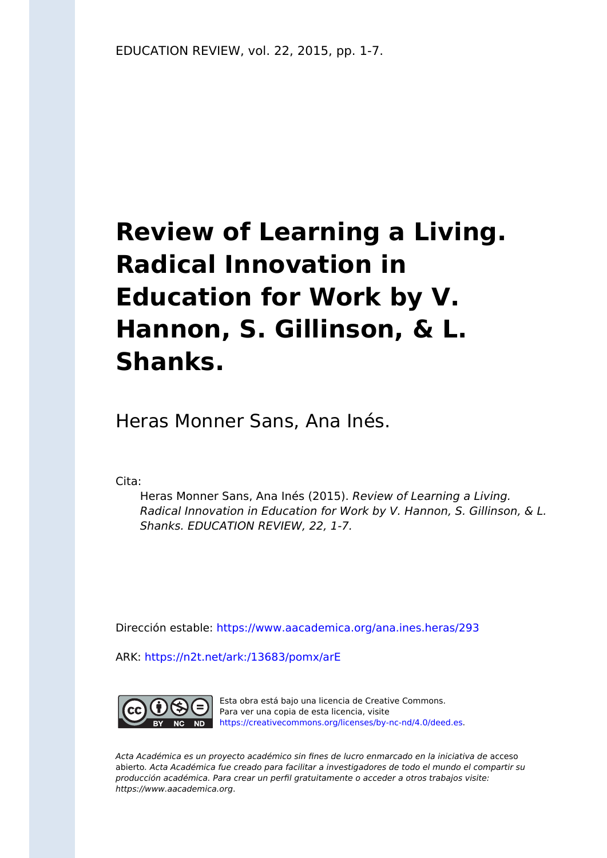# **Review of Learning a Living. Radical Innovation in Education for Work by V. Hannon, S. Gillinson, & L. Shanks.**

Heras Monner Sans, Ana Inés.

Cita:

Heras Monner Sans, Ana Inés (2015). Review of Learning a Living. Radical Innovation in Education for Work by V. Hannon, S. Gillinson, & L. Shanks. EDUCATION REVIEW, 22, 1-7.

Dirección estable:<https://www.aacademica.org/ana.ines.heras/293>

ARK: <https://n2t.net/ark:/13683/pomx/arE>



Esta obra está bajo una licencia de Creative Commons. Para ver una copia de esta licencia, visite [https://creativecommons.org/licenses/by-nc-nd/4.0/deed.es.](https://creativecommons.org/licenses/by-nc-nd/4.0/deed.es)

Acta Académica es un proyecto académico sin fines de lucro enmarcado en la iniciativa de acceso abierto. Acta Académica fue creado para facilitar a investigadores de todo el mundo el compartir su producción académica. Para crear un perfil gratuitamente o acceder a otros trabajos visite: https://www.aacademica.org.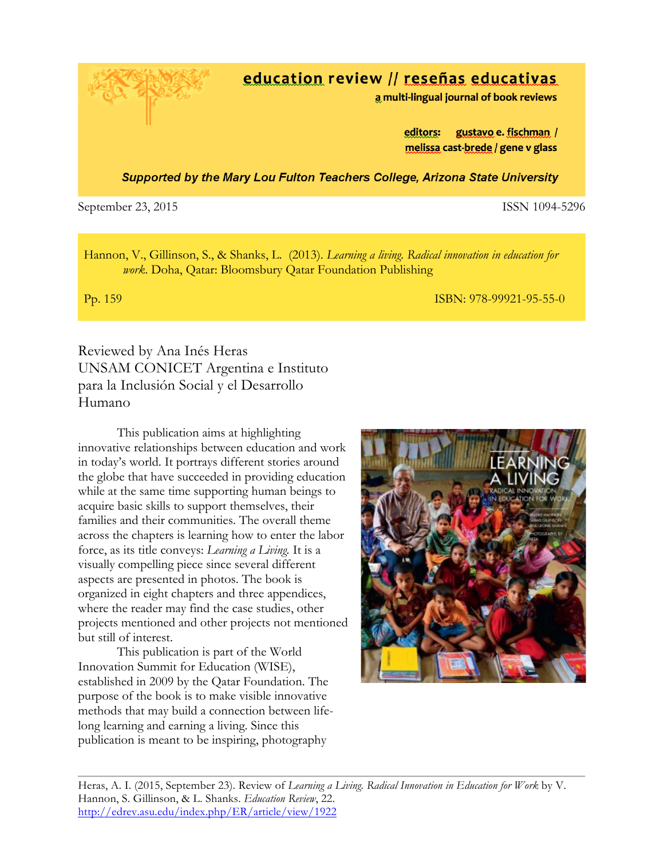education review // reseñas educativas

a multi-lingual journal of book reviews

gustavo e. fischman / editors: melissa cast-brede / gene v glass

Supported by the Mary Lou Fulton Teachers College, Arizona State University

#### September 23, 2015 **ISSN 1094-5296**

Hannon, V., Gillinson, S., & Shanks, L. (2013). *Learning a living. Radical innovation in education for work*. Doha, Qatar: Bloomsbury Qatar Foundation Publishing

Pp. 159 ISBN: 978-99921-95-55-0

Reviewed by Ana Inés Heras UNSAM CONICET Argentina e Instituto para la Inclusión Social y el Desarrollo Humano

This publication aims at highlighting innovative relationships between education and work in today's world. It portrays different stories around the globe that have succeeded in providing education while at the same time supporting human beings to acquire basic skills to support themselves, their families and their communities. The overall theme across the chapters is learning how to enter the labor force, as its title conveys: *Learning a Living.* It is a visually compelling piece since several different aspects are presented in photos. The book is organized in eight chapters and three appendices, where the reader may find the case studies, other projects mentioned and other projects not mentioned but still of interest.

This publication is part of the World Innovation Summit for Education (WISE), established in 2009 by the Qatar Foundation. The purpose of the book is to make visible innovative methods that may build a connection between lifelong learning and earning a living. Since this publication is meant to be inspiring, photography



Heras, A. I. (2015, September 23). Review of *Learning a Living. Radical Innovation in Education for Work* by V. Hannon, S. Gillinson, & L. Shanks. *Education Review*, 22. http://edrev.asu.edu/index.php/ER/article/view/1922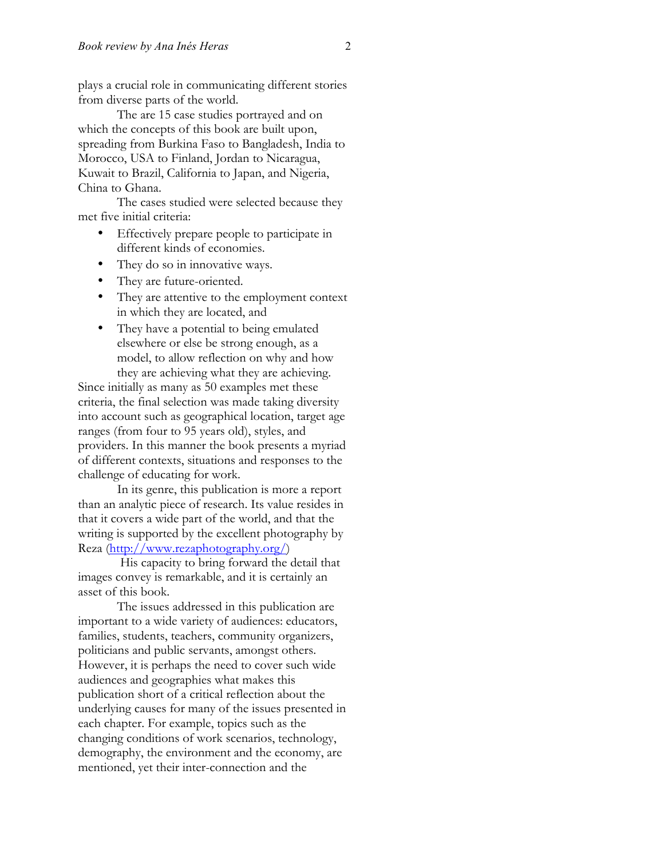plays a crucial role in communicating different stories from diverse parts of the world.

The are 15 case studies portrayed and on which the concepts of this book are built upon, spreading from Burkina Faso to Bangladesh, India to Morocco, USA to Finland, Jordan to Nicaragua, Kuwait to Brazil, California to Japan, and Nigeria, China to Ghana.

The cases studied were selected because they met five initial criteria:

- Effectively prepare people to participate in different kinds of economies.
- They do so in innovative ways.
- They are future-oriented.
- They are attentive to the employment context in which they are located, and
- They have a potential to being emulated elsewhere or else be strong enough, as a model, to allow reflection on why and how they are achieving what they are achieving.

Since initially as many as 50 examples met these criteria, the final selection was made taking diversity into account such as geographical location, target age ranges (from four to 95 years old), styles, and providers. In this manner the book presents a myriad of different contexts, situations and responses to the challenge of educating for work.

In its genre, this publication is more a report than an analytic piece of research. Its value resides in that it covers a wide part of the world, and that the writing is supported by the excellent photography by Reza (http://www.rezaphotography.org/)

His capacity to bring forward the detail that images convey is remarkable, and it is certainly an asset of this book.

The issues addressed in this publication are important to a wide variety of audiences: educators, families, students, teachers, community organizers, politicians and public servants, amongst others. However, it is perhaps the need to cover such wide audiences and geographies what makes this publication short of a critical reflection about the underlying causes for many of the issues presented in each chapter. For example, topics such as the changing conditions of work scenarios, technology, demography, the environment and the economy, are mentioned, yet their inter-connection and the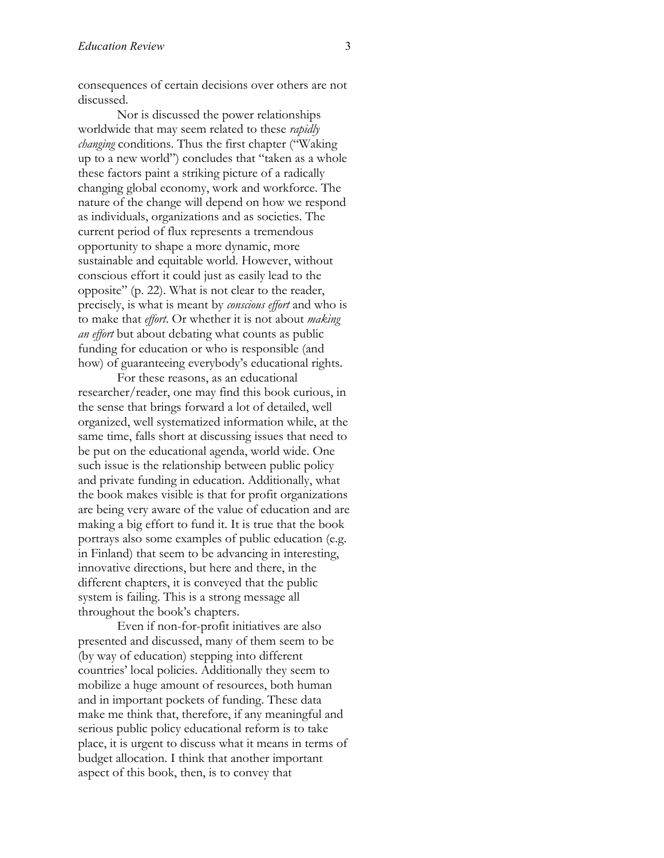consequences of certain decisions over others are not discussed.

Nor is discussed the power relationships worldwide that may seem related to these *rapidly changing* conditions. Thus the first chapter ("Waking up to a new world") concludes that "taken as a whole these factors paint a striking picture of a radically changing global economy, work and workforce. The nature of the change will depend on how we respond as individuals, organizations and as societies. The current period of flux represents a tremendous opportunity to shape a more dynamic, more sustainable and equitable world. However, without conscious effort it could just as easily lead to the opposite" (p. 22). What is not clear to the reader, precisely, is what is meant by *conscious effort* and who is to make that *effort*. Or whether it is not about *making an effort* but about debating what counts as public funding for education or who is responsible (and how) of guaranteeing everybody's educational rights.

For these reasons, as an educational researcher/reader, one may find this book curious, in the sense that brings forward a lot of detailed, well organized, well systematized information while, at the same time, falls short at discussing issues that need to be put on the educational agenda, world wide. One such issue is the relationship between public policy and private funding in education. Additionally, what the book makes visible is that for profit organizations are being very aware of the value of education and are making a big effort to fund it. It is true that the book portrays also some examples of public education (e.g. in Finland) that seem to be advancing in interesting, innovative directions, but here and there, in the different chapters, it is conveyed that the public system is failing. This is a strong message all throughout the book's chapters.

Even if non-for-profit initiatives are also presented and discussed, many of them seem to be (by way of education) stepping into different countries' local policies. Additionally they seem to mobilize a huge amount of resources, both human and in important pockets of funding. These data make me think that, therefore, if any meaningful and serious public policy educational reform is to take place, it is urgent to discuss what it means in terms of budget allocation. I think that another important aspect of this book, then, is to convey that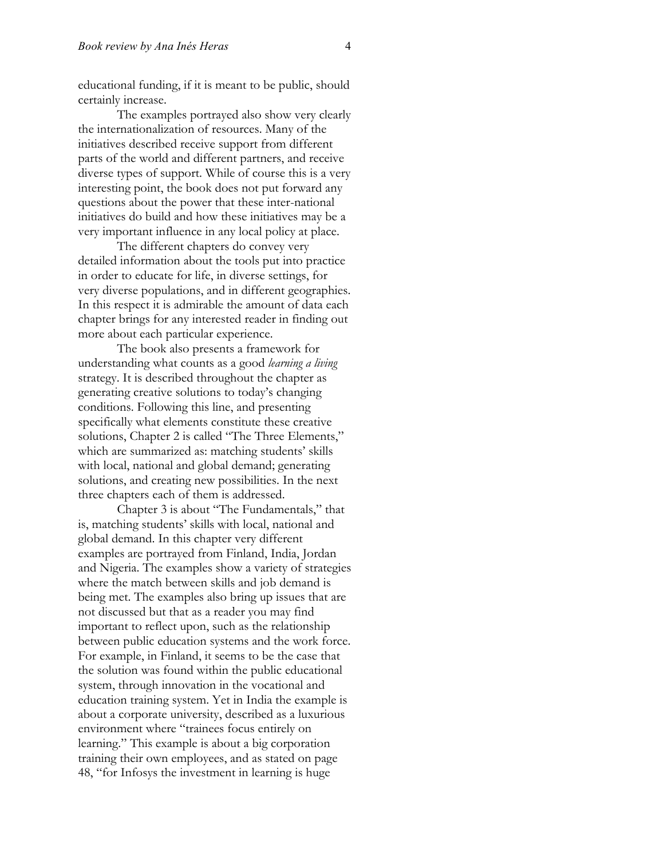educational funding, if it is meant to be public, should certainly increase.

The examples portrayed also show very clearly the internationalization of resources. Many of the initiatives described receive support from different parts of the world and different partners, and receive diverse types of support. While of course this is a very interesting point, the book does not put forward any questions about the power that these inter-national initiatives do build and how these initiatives may be a very important influence in any local policy at place.

The different chapters do convey very detailed information about the tools put into practice in order to educate for life, in diverse settings, for very diverse populations, and in different geographies. In this respect it is admirable the amount of data each chapter brings for any interested reader in finding out more about each particular experience.

The book also presents a framework for understanding what counts as a good *learning a living* strategy. It is described throughout the chapter as generating creative solutions to today's changing conditions. Following this line, and presenting specifically what elements constitute these creative solutions, Chapter 2 is called "The Three Elements," which are summarized as: matching students' skills with local, national and global demand; generating solutions, and creating new possibilities. In the next three chapters each of them is addressed.

Chapter 3 is about "The Fundamentals," that is, matching students' skills with local, national and global demand. In this chapter very different examples are portrayed from Finland, India, Jordan and Nigeria. The examples show a variety of strategies where the match between skills and job demand is being met. The examples also bring up issues that are not discussed but that as a reader you may find important to reflect upon, such as the relationship between public education systems and the work force. For example, in Finland, it seems to be the case that the solution was found within the public educational system, through innovation in the vocational and education training system. Yet in India the example is about a corporate university, described as a luxurious environment where "trainees focus entirely on learning." This example is about a big corporation training their own employees, and as stated on page 48, "for Infosys the investment in learning is huge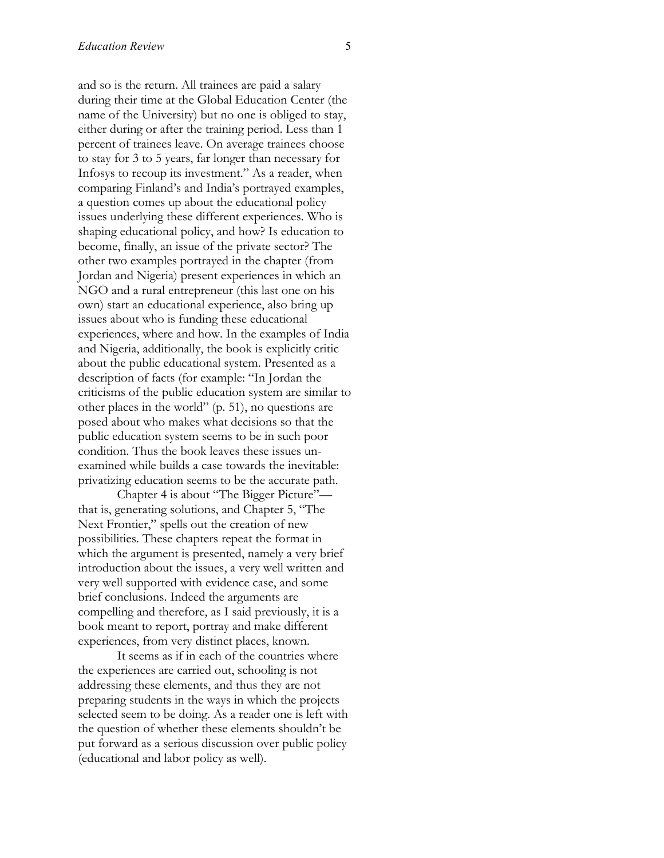and so is the return. All trainees are paid a salary during their time at the Global Education Center (the name of the University) but no one is obliged to stay, either during or after the training period. Less than 1 percent of trainees leave. On average trainees choose to stay for 3 to 5 years, far longer than necessary for Infosys to recoup its investment." As a reader, when comparing Finland's and India's portrayed examples, a question comes up about the educational policy issues underlying these different experiences. Who is shaping educational policy, and how? Is education to become, finally, an issue of the private sector? The other two examples portrayed in the chapter (from Jordan and Nigeria) present experiences in which an NGO and a rural entrepreneur (this last one on his own) start an educational experience, also bring up issues about who is funding these educational experiences, where and how. In the examples of India and Nigeria, additionally, the book is explicitly critic about the public educational system. Presented as a description of facts (for example: "In Jordan the criticisms of the public education system are similar to other places in the world" (p. 51), no questions are posed about who makes what decisions so that the public education system seems to be in such poor condition. Thus the book leaves these issues unexamined while builds a case towards the inevitable: privatizing education seems to be the accurate path.

Chapter 4 is about "The Bigger Picture" that is, generating solutions, and Chapter 5, "The Next Frontier," spells out the creation of new possibilities. These chapters repeat the format in which the argument is presented, namely a very brief introduction about the issues, a very well written and very well supported with evidence case, and some brief conclusions. Indeed the arguments are compelling and therefore, as I said previously, it is a book meant to report, portray and make different experiences, from very distinct places, known.

It seems as if in each of the countries where the experiences are carried out, schooling is not addressing these elements, and thus they are not preparing students in the ways in which the projects selected seem to be doing. As a reader one is left with the question of whether these elements shouldn't be put forward as a serious discussion over public policy (educational and labor policy as well).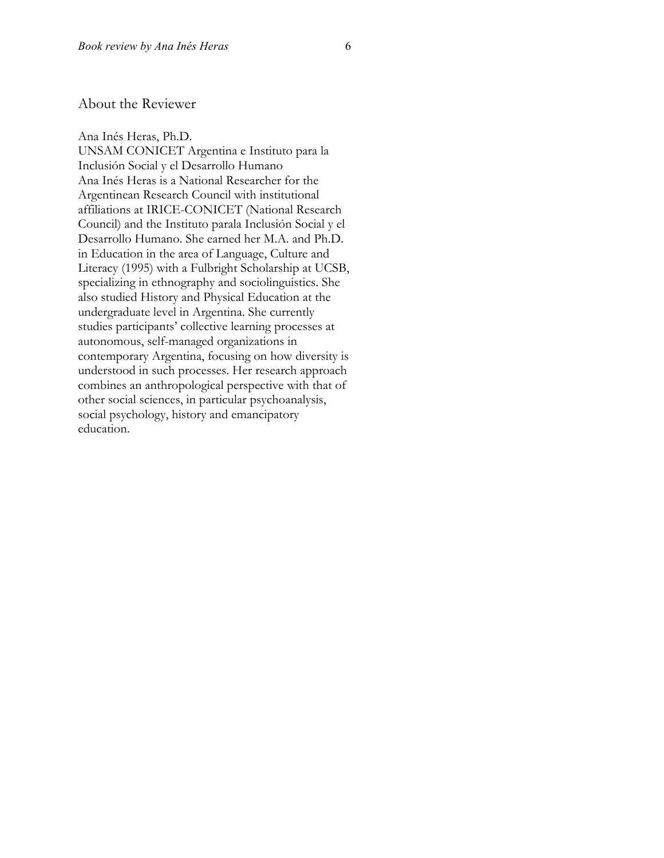#### About the Reviewer

Ana Inés Heras, Ph.D. UNSAM CONICET Argentina e Instituto para la Inclusión Social y el Desarrollo Humano Ana Inés Heras is a National Researcher for the Argentinean Research Council with institutional affiliations at IRICE-CONICET (National Research Council) and the Instituto parala Inclusión Social y el Desarrollo Humano. She earned her M.A. and Ph.D. in Education in the area of Language, Culture and Literacy (1995) with a Fulbright Scholarship at UCSB, specializing in ethnography and sociolinguistics. She also studied History and Physical Education at the undergraduate level in Argentina. She currently studies participants' collective learning processes at autonomous, self-managed organizations in contemporary Argentina, focusing on how diversity is understood in such processes. Her research approach combines an anthropological perspective with that of other social sciences, in particular psychoanalysis, social psychology, history and emancipatory education.